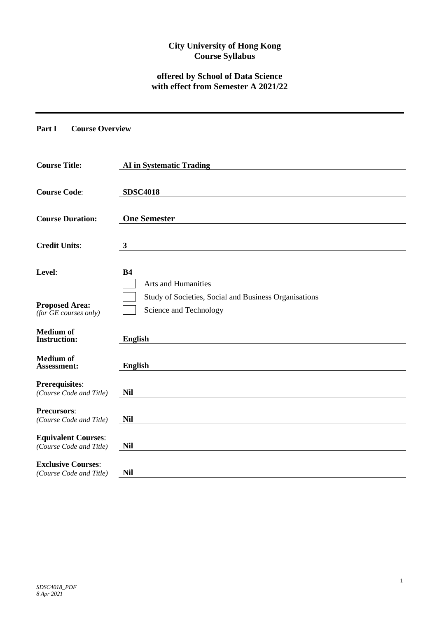# **City University of Hong Kong Course Syllabus**

## **offered by School of Data Science with effect from Semester A 2021/22**

**Part I Course Overview**

| <b>Course Title:</b>                                  | <b>AI</b> in Systematic Trading                                                 |
|-------------------------------------------------------|---------------------------------------------------------------------------------|
| <b>Course Code:</b>                                   | <b>SDSC4018</b>                                                                 |
| <b>Course Duration:</b>                               | <b>One Semester</b>                                                             |
| <b>Credit Units:</b>                                  | $\mathbf{3}$                                                                    |
| Level:                                                | <b>B4</b><br><b>Arts and Humanities</b>                                         |
| <b>Proposed Area:</b><br>(for GE courses only)        | Study of Societies, Social and Business Organisations<br>Science and Technology |
| <b>Medium</b> of<br><b>Instruction:</b>               | <b>English</b>                                                                  |
| <b>Medium</b> of<br>Assessment:                       | <b>English</b>                                                                  |
| <b>Prerequisites:</b><br>(Course Code and Title)      | <b>Nil</b>                                                                      |
| <b>Precursors:</b><br>(Course Code and Title)         | <b>Nil</b>                                                                      |
| <b>Equivalent Courses:</b><br>(Course Code and Title) | Nil                                                                             |
| <b>Exclusive Courses:</b><br>(Course Code and Title)  | <b>Nil</b>                                                                      |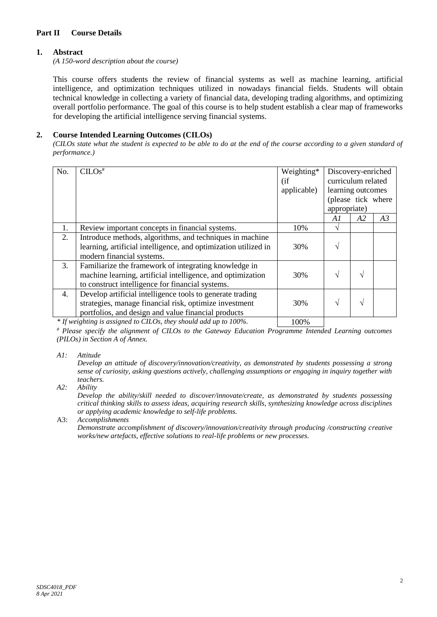## **Part II Course Details**

## **1. Abstract**

*(A 150-word description about the course)*

This course offers students the review of financial systems as well as machine learning, artificial intelligence, and optimization techniques utilized in nowadays financial fields. Students will obtain technical knowledge in collecting a variety of financial data, developing trading algorithms, and optimizing overall portfolio performance. The goal of this course is to help student establish a clear map of frameworks for developing the artificial intelligence serving financial systems.

# **2. Course Intended Learning Outcomes (CILOs)**

*(CILOs state what the student is expected to be able to do at the end of the course according to a given standard of performance.)*

| No. | $CLOS$ <sup>#</sup>                                                                                                                                                        | Weighting*<br>(i f)<br>applicable) | Discovery-enriched<br>curriculum related<br>learning outcomes<br>(please tick where<br>appropriate) |    |    |
|-----|----------------------------------------------------------------------------------------------------------------------------------------------------------------------------|------------------------------------|-----------------------------------------------------------------------------------------------------|----|----|
|     |                                                                                                                                                                            |                                    | A1                                                                                                  | A2 | A3 |
| 1.  | Review important concepts in financial systems.                                                                                                                            | 10%                                | V                                                                                                   |    |    |
| 2.  | Introduce methods, algorithms, and techniques in machine<br>learning, artificial intelligence, and optimization utilized in<br>modern financial systems.                   | 30%                                | $\mathcal{L}$                                                                                       |    |    |
| 3.  | Familiarize the framework of integrating knowledge in<br>machine learning, artificial intelligence, and optimization<br>to construct intelligence for financial systems.   | 30%                                |                                                                                                     | اد |    |
| 4.  | Develop artificial intelligence tools to generate trading<br>strategies, manage financial risk, optimize investment<br>portfolios, and design and value financial products | 30%                                | $\mathcal{L}$                                                                                       | ٦Ι |    |

*\* If weighting is assigned to CILOs, they should add up to 100%.* 100%

*# Please specify the alignment of CILOs to the Gateway Education Programme Intended Learning outcomes (PILOs) in Section A of Annex.* 

*A1: Attitude* 

*Develop an attitude of discovery/innovation/creativity, as demonstrated by students possessing a strong sense of curiosity, asking questions actively, challenging assumptions or engaging in inquiry together with teachers.*

*A2: Ability*

*Develop the ability/skill needed to discover/innovate/create, as demonstrated by students possessing critical thinking skills to assess ideas, acquiring research skills, synthesizing knowledge across disciplines or applying academic knowledge to self-life problems.*

#### A3: *Accomplishments*

*Demonstrate accomplishment of discovery/innovation/creativity through producing /constructing creative works/new artefacts, effective solutions to real-life problems or new processes.*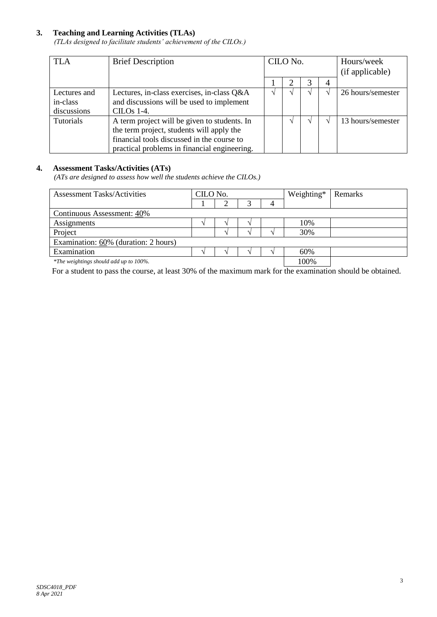# **3. Teaching and Learning Activities (TLAs)**

*(TLAs designed to facilitate students' achievement of the CILOs.)*

| <b>TLA</b>                              | <b>Brief Description</b>                                                                                                                                                                | CILO No. |   |    | Hours/week<br>(if applicable) |
|-----------------------------------------|-----------------------------------------------------------------------------------------------------------------------------------------------------------------------------------------|----------|---|----|-------------------------------|
|                                         |                                                                                                                                                                                         |          | 3 | 4  |                               |
| Lectures and<br>in-class<br>discussions | Lectures, in-class exercises, in-class Q&A<br>and discussions will be used to implement<br>CILOs 1-4.                                                                                   |          |   | اد | 26 hours/semester             |
| <b>Tutorials</b>                        | A term project will be given to students. In<br>the term project, students will apply the<br>financial tools discussed in the course to<br>practical problems in financial engineering. |          |   |    | 13 hours/semester             |

## **4. Assessment Tasks/Activities (ATs)**

*(ATs are designed to assess how well the students achieve the CILOs.)*

| <b>Assessment Tasks/Activities</b>     | CILO No. |  | Weighting* | Remarks |
|----------------------------------------|----------|--|------------|---------|
|                                        |          |  |            |         |
| Continuous Assessment: 40%             |          |  |            |         |
| Assignments                            |          |  | 10%        |         |
| Project                                |          |  | 30%        |         |
| Examination: 60% (duration: 2 hours)   |          |  |            |         |
| Examination                            |          |  | 60%        |         |
| *The weightings should add up to 100%. |          |  | 100%       |         |

For a student to pass the course, at least 30% of the maximum mark for the examination should be obtained.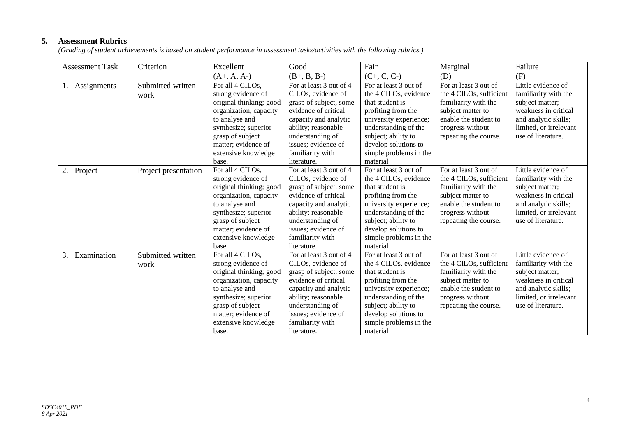# **5. Assessment Rubrics**

*(Grading of student achievements is based on student performance in assessment tasks/activities with the following rubrics.)*

| <b>Assessment Task</b> | Criterion            | Excellent               | Good                    | Fair                   | Marginal                | Failure                |
|------------------------|----------------------|-------------------------|-------------------------|------------------------|-------------------------|------------------------|
|                        |                      | $(A+, A, A-)$           | $(B+, B, B-)$           | $(C+, C, C-)$          | (D)                     | (F)                    |
| Assignments            | Submitted written    | For all 4 CILOs,        | For at least 3 out of 4 | For at least 3 out of  | For at least 3 out of   | Little evidence of     |
|                        | work                 | strong evidence of      | CILOs, evidence of      | the 4 CILOs, evidence  | the 4 CILOs, sufficient | familiarity with the   |
|                        |                      | original thinking; good | grasp of subject, some  | that student is        | familiarity with the    | subject matter;        |
|                        |                      | organization, capacity  | evidence of critical    | profiting from the     | subject matter to       | weakness in critical   |
|                        |                      | to analyse and          | capacity and analytic   | university experience; | enable the student to   | and analytic skills;   |
|                        |                      | synthesize; superior    | ability; reasonable     | understanding of the   | progress without        | limited, or irrelevant |
|                        |                      | grasp of subject        | understanding of        | subject; ability to    | repeating the course.   | use of literature.     |
|                        |                      | matter; evidence of     | issues; evidence of     | develop solutions to   |                         |                        |
|                        |                      | extensive knowledge     | familiarity with        | simple problems in the |                         |                        |
|                        |                      | base.                   | literature.             | material               |                         |                        |
| 2. Project             | Project presentation | For all 4 CILOs,        | For at least 3 out of 4 | For at least 3 out of  | For at least 3 out of   | Little evidence of     |
|                        |                      | strong evidence of      | CILOs, evidence of      | the 4 CILOs, evidence  | the 4 CILOs, sufficient | familiarity with the   |
|                        |                      | original thinking; good | grasp of subject, some  | that student is        | familiarity with the    | subject matter;        |
|                        |                      | organization, capacity  | evidence of critical    | profiting from the     | subject matter to       | weakness in critical   |
|                        |                      | to analyse and          | capacity and analytic   | university experience; | enable the student to   | and analytic skills;   |
|                        |                      | synthesize; superior    | ability; reasonable     | understanding of the   | progress without        | limited, or irrelevant |
|                        |                      | grasp of subject        | understanding of        | subject; ability to    | repeating the course.   | use of literature.     |
|                        |                      | matter; evidence of     | issues; evidence of     | develop solutions to   |                         |                        |
|                        |                      | extensive knowledge     | familiarity with        | simple problems in the |                         |                        |
|                        |                      | base.                   | literature.             | material               |                         |                        |
| Examination<br>3.      | Submitted written    | For all 4 CILOs,        | For at least 3 out of 4 | For at least 3 out of  | For at least 3 out of   | Little evidence of     |
|                        | work                 | strong evidence of      | CILOs, evidence of      | the 4 CILOs, evidence  | the 4 CILOs, sufficient | familiarity with the   |
|                        |                      | original thinking; good | grasp of subject, some  | that student is        | familiarity with the    | subject matter;        |
|                        |                      | organization, capacity  | evidence of critical    | profiting from the     | subject matter to       | weakness in critical   |
|                        |                      | to analyse and          | capacity and analytic   | university experience; | enable the student to   | and analytic skills;   |
|                        |                      | synthesize; superior    | ability; reasonable     | understanding of the   | progress without        | limited, or irrelevant |
|                        |                      | grasp of subject        | understanding of        | subject; ability to    | repeating the course.   | use of literature.     |
|                        |                      | matter; evidence of     | issues; evidence of     | develop solutions to   |                         |                        |
|                        |                      | extensive knowledge     | familiarity with        | simple problems in the |                         |                        |
|                        |                      | base.                   | literature.             | material               |                         |                        |